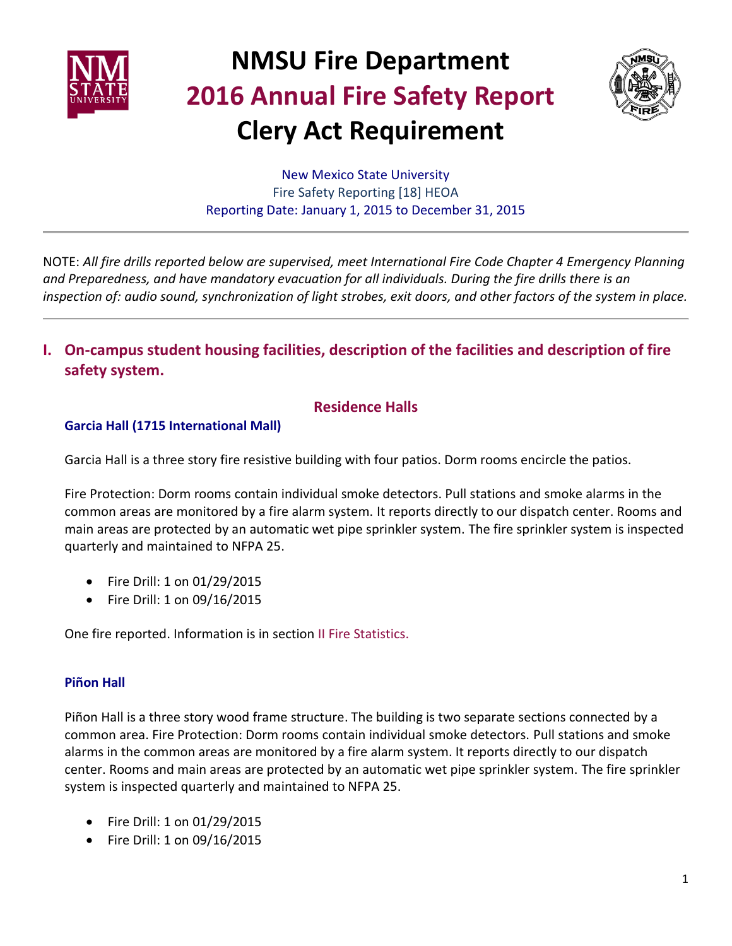



New Mexico State University Fire Safety Reporting [18] HEOA Reporting Date: January 1, 2015 to December 31, 2015

NOTE: *All fire drills reported below are supervised, meet International Fire Code Chapter 4 Emergency Planning and Preparedness, and have mandatory evacuation for all individuals. During the fire drills there is an inspection of: audio sound, synchronization of light strobes, exit doors, and other factors of the system in place.*

**I. On-campus student housing facilities, description of the facilities and description of fire safety system.**

## **Residence Halls**

#### **Garcia Hall (1715 International Mall)**

Garcia Hall is a three story fire resistive building with four patios. Dorm rooms encircle the patios.

Fire Protection: Dorm rooms contain individual smoke detectors. Pull stations and smoke alarms in the common areas are monitored by a fire alarm system. It reports directly to our dispatch center. Rooms and main areas are protected by an automatic wet pipe sprinkler system. The fire sprinkler system is inspected quarterly and maintained to NFPA 25.

- Fire Drill: 1 on 01/29/2015
- Fire Drill: 1 on 09/16/2015

One fire reported. Information is in section II Fire Statistics.

### **Piñon Hall**

Piñon Hall is a three story wood frame structure. The building is two separate sections connected by a common area. Fire Protection: Dorm rooms contain individual smoke detectors. Pull stations and smoke alarms in the common areas are monitored by a fire alarm system. It reports directly to our dispatch center. Rooms and main areas are protected by an automatic wet pipe sprinkler system. The fire sprinkler system is inspected quarterly and maintained to NFPA 25.

- Fire Drill: 1 on 01/29/2015
- Fire Drill: 1 on 09/16/2015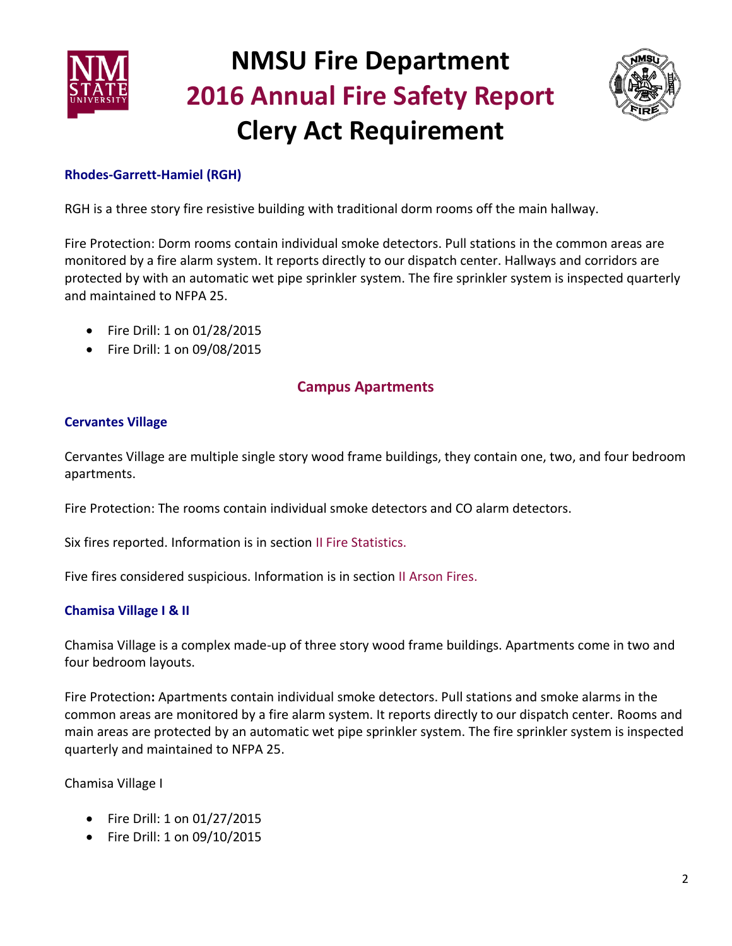



## **Rhodes-Garrett-Hamiel (RGH)**

RGH is a three story fire resistive building with traditional dorm rooms off the main hallway.

Fire Protection: Dorm rooms contain individual smoke detectors. Pull stations in the common areas are monitored by a fire alarm system. It reports directly to our dispatch center. Hallways and corridors are protected by with an automatic wet pipe sprinkler system. The fire sprinkler system is inspected quarterly and maintained to NFPA 25.

- Fire Drill: 1 on 01/28/2015
- Fire Drill: 1 on 09/08/2015

## **Campus Apartments**

### **Cervantes Village**

Cervantes Village are multiple single story wood frame buildings, they contain one, two, and four bedroom apartments.

Fire Protection: The rooms contain individual smoke detectors and CO alarm detectors.

Six fires reported. Information is in section II Fire Statistics.

Five fires considered suspicious. Information is in section II Arson Fires.

### **Chamisa Village I & II**

Chamisa Village is a complex made-up of three story wood frame buildings. Apartments come in two and four bedroom layouts.

Fire Protection**:** Apartments contain individual smoke detectors. Pull stations and smoke alarms in the common areas are monitored by a fire alarm system. It reports directly to our dispatch center. Rooms and main areas are protected by an automatic wet pipe sprinkler system. The fire sprinkler system is inspected quarterly and maintained to NFPA 25.

Chamisa Village I

- Fire Drill: 1 on 01/27/2015
- Fire Drill: 1 on 09/10/2015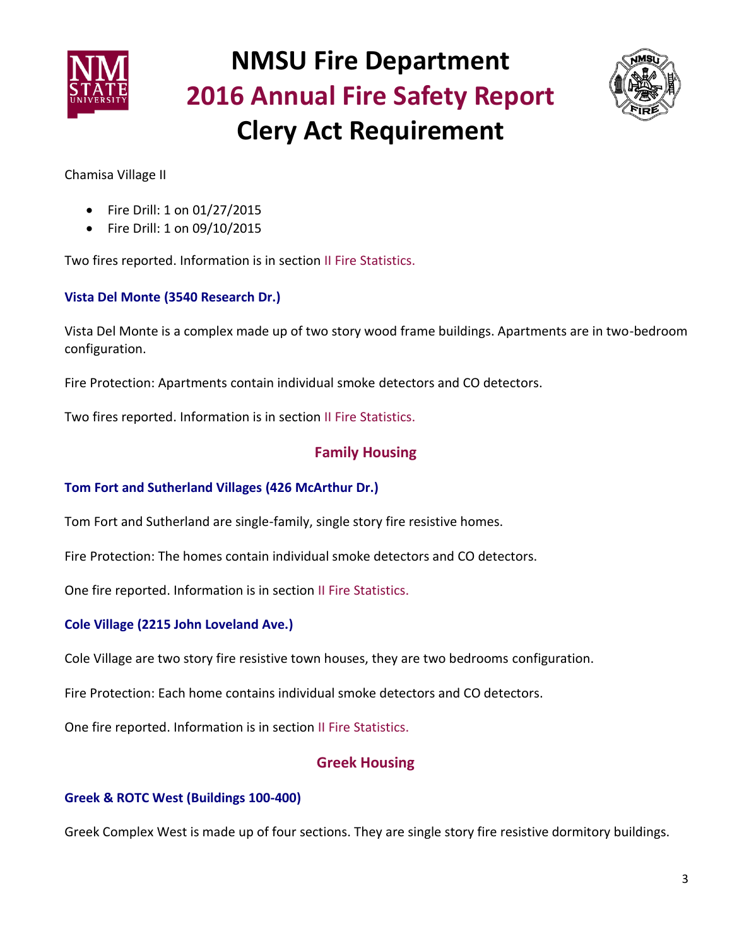



Chamisa Village II

- Fire Drill: 1 on 01/27/2015
- Fire Drill: 1 on 09/10/2015

Two fires reported. Information is in section II Fire Statistics.

### **Vista Del Monte (3540 Research Dr.)**

Vista Del Monte is a complex made up of two story wood frame buildings. Apartments are in two-bedroom configuration.

Fire Protection: Apartments contain individual smoke detectors and CO detectors.

Two fires reported. Information is in section II Fire Statistics.

## **Family Housing**

### **Tom Fort and Sutherland Villages (426 McArthur Dr.)**

Tom Fort and Sutherland are single-family, single story fire resistive homes.

Fire Protection: The homes contain individual smoke detectors and CO detectors.

One fire reported. Information is in section II Fire Statistics.

### **Cole Village (2215 John Loveland Ave.)**

Cole Village are two story fire resistive town houses, they are two bedrooms configuration.

Fire Protection: Each home contains individual smoke detectors and CO detectors.

One fire reported. Information is in section II Fire Statistics.

## **Greek Housing**

### **Greek & ROTC West (Buildings 100-400)**

Greek Complex West is made up of four sections. They are single story fire resistive dormitory buildings.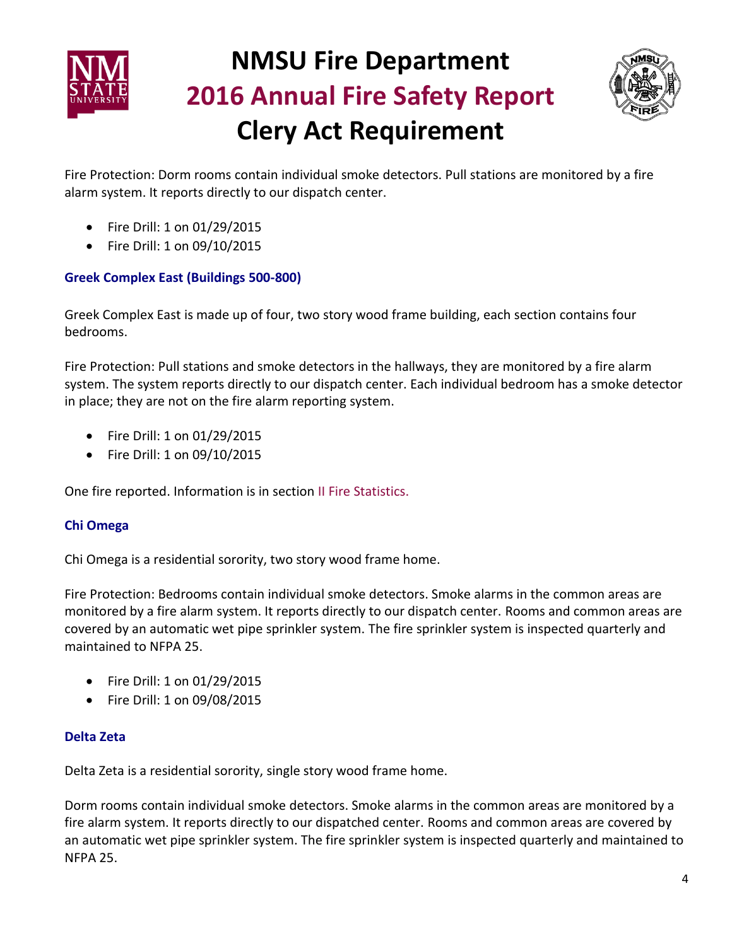



Fire Protection: Dorm rooms contain individual smoke detectors. Pull stations are monitored by a fire alarm system. It reports directly to our dispatch center.

- Fire Drill: 1 on 01/29/2015
- Fire Drill: 1 on 09/10/2015

#### **Greek Complex East (Buildings 500-800)**

Greek Complex East is made up of four, two story wood frame building, each section contains four bedrooms.

Fire Protection: Pull stations and smoke detectors in the hallways, they are monitored by a fire alarm system. The system reports directly to our dispatch center. Each individual bedroom has a smoke detector in place; they are not on the fire alarm reporting system.

- Fire Drill: 1 on 01/29/2015
- Fire Drill: 1 on 09/10/2015

One fire reported. Information is in section II Fire Statistics.

### **Chi Omega**

Chi Omega is a residential sorority, two story wood frame home.

Fire Protection: Bedrooms contain individual smoke detectors. Smoke alarms in the common areas are monitored by a fire alarm system. It reports directly to our dispatch center. Rooms and common areas are covered by an automatic wet pipe sprinkler system. The fire sprinkler system is inspected quarterly and maintained to NFPA 25.

- Fire Drill: 1 on 01/29/2015
- Fire Drill: 1 on 09/08/2015

#### **Delta Zeta**

Delta Zeta is a residential sorority, single story wood frame home.

Dorm rooms contain individual smoke detectors. Smoke alarms in the common areas are monitored by a fire alarm system. It reports directly to our dispatched center. Rooms and common areas are covered by an automatic wet pipe sprinkler system. The fire sprinkler system is inspected quarterly and maintained to NFPA 25.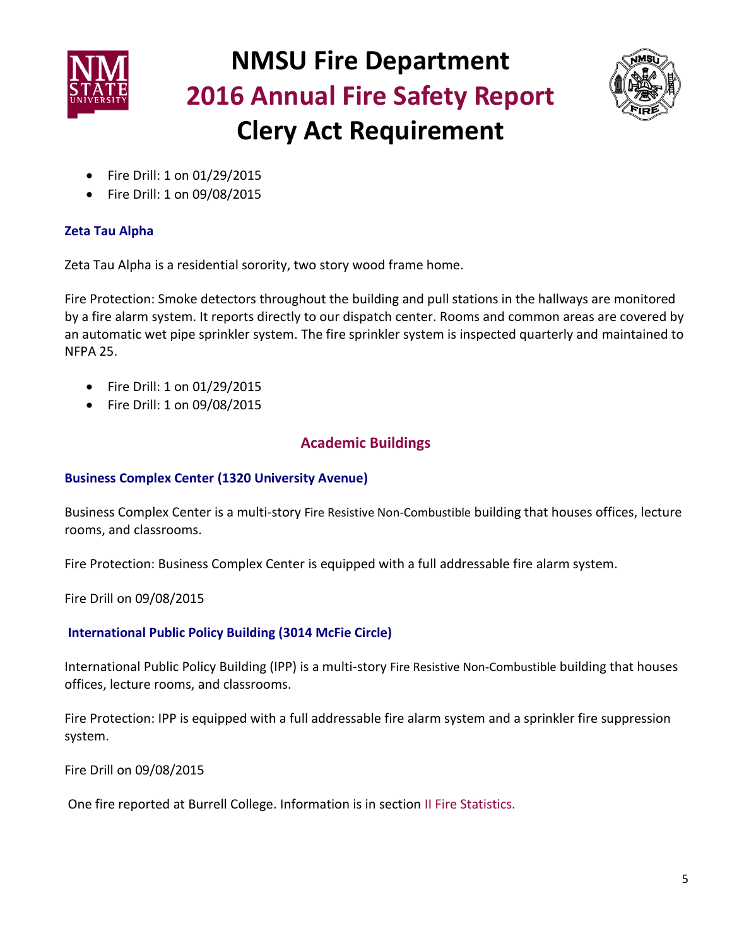



- Fire Drill: 1 on 01/29/2015
- Fire Drill: 1 on 09/08/2015

## **Zeta Tau Alpha**

Zeta Tau Alpha is a residential sorority, two story wood frame home.

Fire Protection: Smoke detectors throughout the building and pull stations in the hallways are monitored by a fire alarm system. It reports directly to our dispatch center. Rooms and common areas are covered by an automatic wet pipe sprinkler system. The fire sprinkler system is inspected quarterly and maintained to NFPA 25.

- Fire Drill: 1 on 01/29/2015
- Fire Drill: 1 on 09/08/2015

## **Academic Buildings**

### **Business Complex Center (1320 University Avenue)**

Business Complex Center is a multi-story Fire Resistive Non-Combustible building that houses offices, lecture rooms, and classrooms.

Fire Protection: Business Complex Center is equipped with a full addressable fire alarm system.

Fire Drill on 09/08/2015

### **International Public Policy Building (3014 McFie Circle)**

International Public Policy Building (IPP) is a multi-story Fire Resistive Non-Combustible building that houses offices, lecture rooms, and classrooms.

Fire Protection: IPP is equipped with a full addressable fire alarm system and a sprinkler fire suppression system.

Fire Drill on 09/08/2015

One fire reported at Burrell College. Information is in section II Fire Statistics.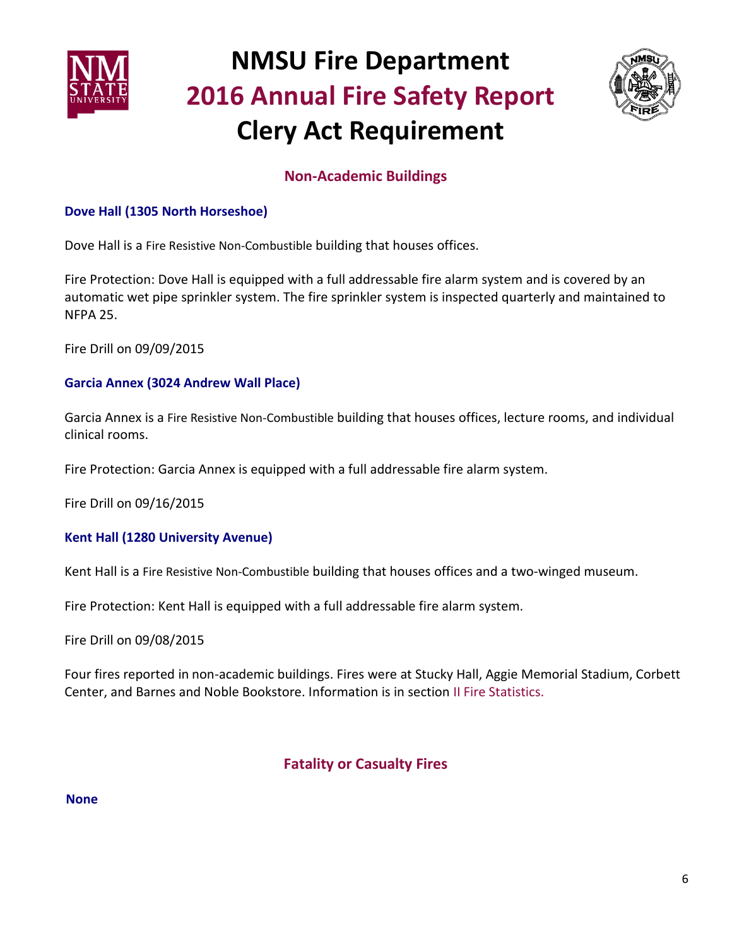



## **Non-Academic Buildings**

### **Dove Hall (1305 North Horseshoe)**

Dove Hall is a Fire Resistive Non-Combustible building that houses offices.

Fire Protection: Dove Hall is equipped with a full addressable fire alarm system and is covered by an automatic wet pipe sprinkler system. The fire sprinkler system is inspected quarterly and maintained to NFPA 25.

Fire Drill on 09/09/2015

### **Garcia Annex (3024 Andrew Wall Place)**

Garcia Annex is a Fire Resistive Non-Combustible building that houses offices, lecture rooms, and individual clinical rooms.

Fire Protection: Garcia Annex is equipped with a full addressable fire alarm system.

Fire Drill on 09/16/2015

### **Kent Hall (1280 University Avenue)**

Kent Hall is a Fire Resistive Non-Combustible building that houses offices and a two-winged museum.

Fire Protection: Kent Hall is equipped with a full addressable fire alarm system.

Fire Drill on 09/08/2015

Four fires reported in non-academic buildings. Fires were at Stucky Hall, Aggie Memorial Stadium, Corbett Center, and Barnes and Noble Bookstore. Information is in section II Fire Statistics.

## **Fatality or Casualty Fires**

#### **None**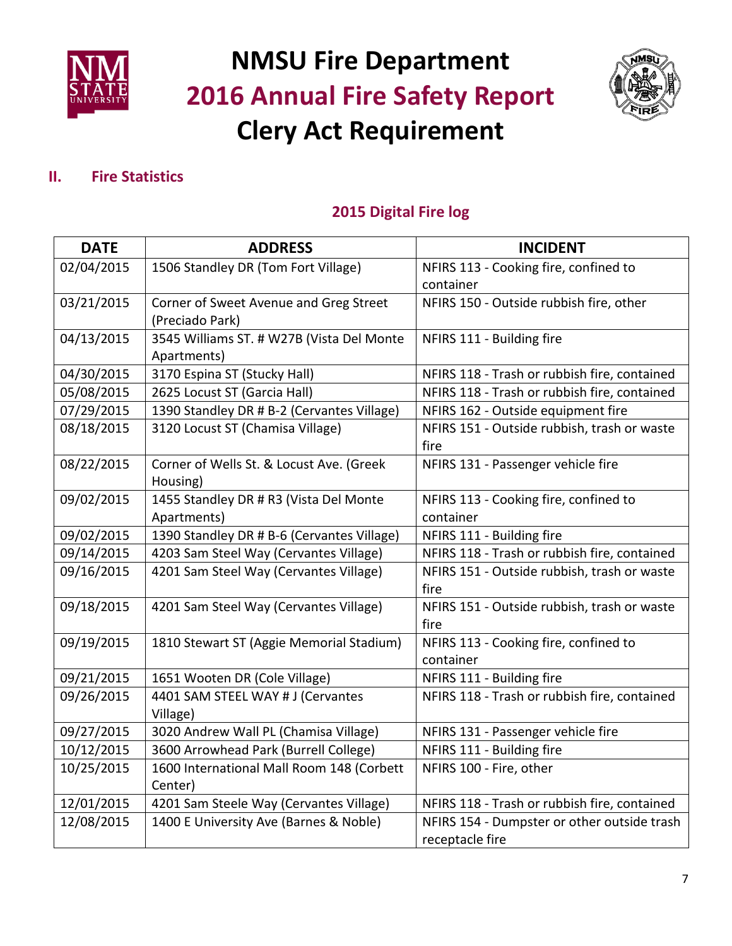



## **II. Fire Statistics**

## **2015 Digital Fire log**

| <b>DATE</b> | <b>ADDRESS</b>                             | <b>INCIDENT</b>                              |
|-------------|--------------------------------------------|----------------------------------------------|
| 02/04/2015  | 1506 Standley DR (Tom Fort Village)        | NFIRS 113 - Cooking fire, confined to        |
|             |                                            | container                                    |
| 03/21/2015  | Corner of Sweet Avenue and Greg Street     | NFIRS 150 - Outside rubbish fire, other      |
|             | (Preciado Park)                            |                                              |
| 04/13/2015  | 3545 Williams ST. # W27B (Vista Del Monte  | NFIRS 111 - Building fire                    |
|             | Apartments)                                |                                              |
| 04/30/2015  | 3170 Espina ST (Stucky Hall)               | NFIRS 118 - Trash or rubbish fire, contained |
| 05/08/2015  | 2625 Locust ST (Garcia Hall)               | NFIRS 118 - Trash or rubbish fire, contained |
| 07/29/2015  | 1390 Standley DR # B-2 (Cervantes Village) | NFIRS 162 - Outside equipment fire           |
| 08/18/2015  | 3120 Locust ST (Chamisa Village)           | NFIRS 151 - Outside rubbish, trash or waste  |
|             |                                            | fire                                         |
| 08/22/2015  | Corner of Wells St. & Locust Ave. (Greek   | NFIRS 131 - Passenger vehicle fire           |
|             | Housing)                                   |                                              |
| 09/02/2015  | 1455 Standley DR # R3 (Vista Del Monte     | NFIRS 113 - Cooking fire, confined to        |
|             | Apartments)                                | container                                    |
| 09/02/2015  | 1390 Standley DR # B-6 (Cervantes Village) | NFIRS 111 - Building fire                    |
| 09/14/2015  | 4203 Sam Steel Way (Cervantes Village)     | NFIRS 118 - Trash or rubbish fire, contained |
| 09/16/2015  | 4201 Sam Steel Way (Cervantes Village)     | NFIRS 151 - Outside rubbish, trash or waste  |
|             |                                            | fire                                         |
| 09/18/2015  | 4201 Sam Steel Way (Cervantes Village)     | NFIRS 151 - Outside rubbish, trash or waste  |
|             |                                            | fire                                         |
| 09/19/2015  | 1810 Stewart ST (Aggie Memorial Stadium)   | NFIRS 113 - Cooking fire, confined to        |
|             |                                            | container                                    |
| 09/21/2015  | 1651 Wooten DR (Cole Village)              | NFIRS 111 - Building fire                    |
| 09/26/2015  | 4401 SAM STEEL WAY # J (Cervantes          | NFIRS 118 - Trash or rubbish fire, contained |
|             | Village)                                   |                                              |
| 09/27/2015  | 3020 Andrew Wall PL (Chamisa Village)      | NFIRS 131 - Passenger vehicle fire           |
| 10/12/2015  | 3600 Arrowhead Park (Burrell College)      | NFIRS 111 - Building fire                    |
| 10/25/2015  | 1600 International Mall Room 148 (Corbett  | NFIRS 100 - Fire, other                      |
|             | Center)                                    |                                              |
| 12/01/2015  | 4201 Sam Steele Way (Cervantes Village)    | NFIRS 118 - Trash or rubbish fire, contained |
| 12/08/2015  | 1400 E University Ave (Barnes & Noble)     | NFIRS 154 - Dumpster or other outside trash  |
|             |                                            | receptacle fire                              |